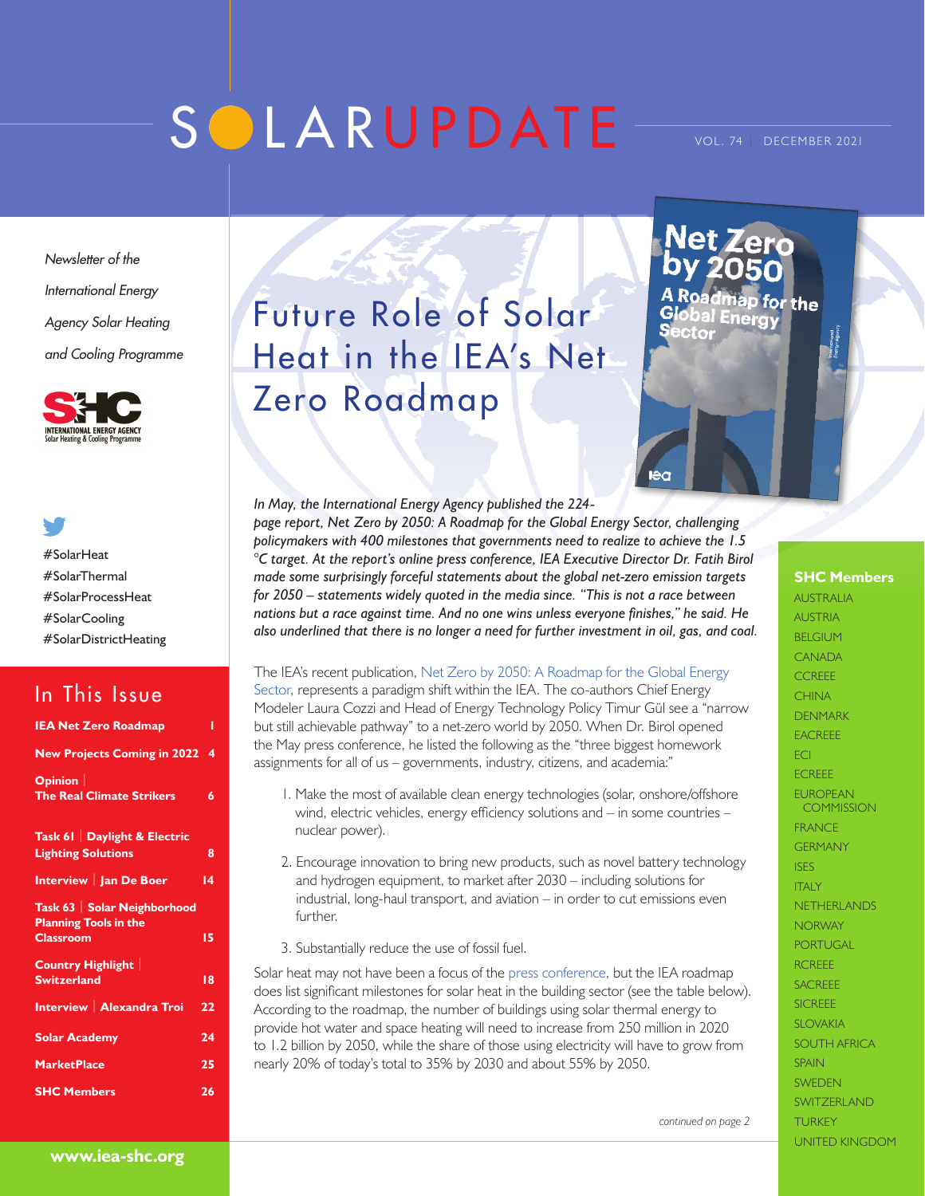# SOLARUPDATE

for the

**Energy** 

*Newsletter of the International Energy Agency Solar Heating and Cooling Programme*



#SolarHeat #SolarThermal #SolarProcessHeat #SolarCooling

### In This Issue

#SolarDistrictHeating

| <b>IEA Net Zero Roadmap</b>                                                      | ı  |
|----------------------------------------------------------------------------------|----|
| <b>New Projects Coming in 2022</b>                                               | 4  |
| Opinion<br><b>The Real Climate Strikers</b>                                      | 6  |
| Task 61   Daylight & Electric<br><b>Lighting Solutions</b>                       | 8  |
| Interview   Jan De Boer                                                          | 14 |
| Task 63   Solar Neighborhood<br><b>Planning Tools in the</b><br><b>Classroom</b> | 15 |
| <b>Country Highlight</b><br><b>Switzerland</b>                                   | 18 |
| Interview   Alexandra Troi                                                       | 22 |
| <b>Solar Academy</b>                                                             | 24 |
| <b>MarketPlace</b>                                                               | 25 |
| <b>SHC Members</b>                                                               | 26 |
|                                                                                  |    |

## Future Role of Solar Heat in the IEA's Net Zero Roadmap

*In May, the International Energy Agency published the 224 page report, Net Zero by 2050: A Roadmap for the Global Energy Sector, challenging policymakers with 400 milestones that governments need to realize to achieve the 1.5 °C target. At the report's online press conference, IEA Executive Director Dr. Fatih Birol made some surprisingly forceful statements about the global net-zero emission targets for 2050 – statements widely quoted in the media since. "This is not a race between nations but a race against time. And no one wins unless everyone finishes," he said. He also underlined that there is no longer a need for further investment in oil, gas, and coal.* 

The IEA's recent publication, [Net Zero by 2050: A Roadmap for the Global Energy](https://www.iea.org/reports/net-zero-by-2050)  [Sector](https://www.iea.org/reports/net-zero-by-2050), represents a paradigm shift within the IEA. The co-authors Chief Energy Modeler Laura Cozzi and Head of Energy Technology Policy Timur Gül see a "narrow but still achievable pathway" to a net-zero world by 2050. When Dr. Birol opened the May press conference, he listed the following as the "three biggest homework assignments for all of us – governments, industry, citizens, and academia:"

- 1. Make the most of available clean energy technologies (solar, onshore/offshore wind, electric vehicles, energy efficiency solutions and – in some countries – nuclear power).
- 2. Encourage innovation to bring new products, such as novel battery technology and hydrogen equipment, to market after 2030 – including solutions for industrial, long-haul transport, and aviation – in order to cut emissions even further.

3. Substantially reduce the use of fossil fuel.

Solar heat may not have been a focus of the [press conferenc](https://www.youtube.com/watch?v=WQ5HsTyU_5Q)e, but the IEA roadmap does list significant milestones for solar heat in the building sector (see the table below). According to the roadmap, the number of buildings using solar thermal energy to provide hot water and space heating will need to increase from 250 million in 2020 to 1.2 billion by 2050, while the share of those using electricity will have to grow from nearly 20% of today's total to 35% by 2030 and about 55% by 2050.

**SHC Members**

AUSTRALIA AUSTRIA BELGIUM CANADA **CCREEE CHINA** DENMARK EACREEE ECI ECREEE EUROPEAN **COMMISSION** FRANCE GERMANY ISES **ITALY** NETHERLANDS **NORWAY PORTUGAL RCREEE** SACREEE SICREEE SLOVAKIA SOUTH AFRICA **SPAIN SWEDEN** SWITZERI AND TURKEY UNITED KINGDOM

*continued on page 2*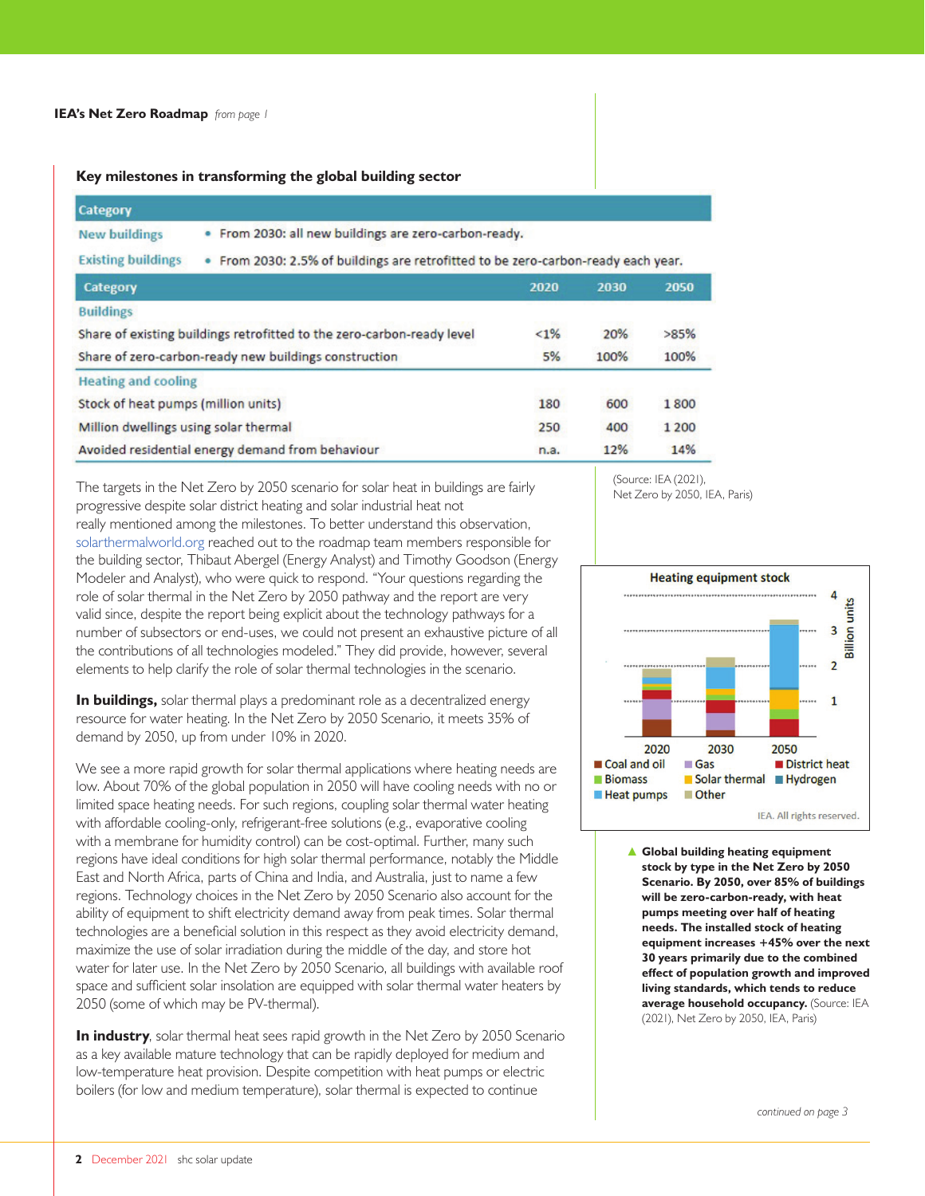#### **Key milestones in transforming the global building sector**

| Category                                                               |                                                                                   |         |      |       |  |  |
|------------------------------------------------------------------------|-----------------------------------------------------------------------------------|---------|------|-------|--|--|
| <b>New buildings</b>                                                   | · From 2030: all new buildings are zero-carbon-ready.                             |         |      |       |  |  |
| <b>Existing buildings</b>                                              | . From 2030: 2.5% of buildings are retrofitted to be zero-carbon-ready each year. |         |      |       |  |  |
| Category                                                               |                                                                                   | 2020    | 2030 | 2050  |  |  |
| <b>Buildings</b>                                                       |                                                                                   |         |      |       |  |  |
| Share of existing buildings retrofitted to the zero-carbon-ready level |                                                                                   | $< 1\%$ | 20%  | >85%  |  |  |
| Share of zero-carbon-ready new buildings construction                  |                                                                                   | 5%      | 100% | 100%  |  |  |
| <b>Heating and cooling</b>                                             |                                                                                   |         |      |       |  |  |
| Stock of heat pumps (million units)                                    |                                                                                   | 180     | 600  | 1800  |  |  |
| Million dwellings using solar thermal                                  |                                                                                   | 250     | 400  | 1 200 |  |  |
| Avoided residential energy demand from behaviour                       |                                                                                   | n.a.    | 12%  | 14%   |  |  |

The targets in the Net Zero by 2050 scenario for solar heat in buildings are fairly progressive despite solar district heating and solar industrial heat not really mentioned among the milestones. To better understand this observation, [solarthermalworld.org](https://www.solarthermalworld.org/) reached out to the roadmap team members responsible for the building sector, Thibaut Abergel (Energy Analyst) and Timothy Goodson (Energy Modeler and Analyst), who were quick to respond. "Your questions regarding the role of solar thermal in the Net Zero by 2050 pathway and the report are very valid since, despite the report being explicit about the technology pathways for a number of subsectors or end-uses, we could not present an exhaustive picture of all the contributions of all technologies modeled." They did provide, however, several elements to help clarify the role of solar thermal technologies in the scenario.

**In buildings,** solar thermal plays a predominant role as a decentralized energy resource for water heating. In the Net Zero by 2050 Scenario, it meets 35% of demand by 2050, up from under 10% in 2020.

We see a more rapid growth for solar thermal applications where heating needs are low. About 70% of the global population in 2050 will have cooling needs with no or limited space heating needs. For such regions, coupling solar thermal water heating with affordable cooling-only, refrigerant-free solutions (e.g., evaporative cooling with a membrane for humidity control) can be cost-optimal. Further, many such regions have ideal conditions for high solar thermal performance, notably the Middle East and North Africa, parts of China and India, and Australia, just to name a few regions. Technology choices in the Net Zero by 2050 Scenario also account for the ability of equipment to shift electricity demand away from peak times. Solar thermal technologies are a beneficial solution in this respect as they avoid electricity demand, maximize the use of solar irradiation during the middle of the day, and store hot water for later use. In the Net Zero by 2050 Scenario, all buildings with available roof space and sufficient solar insolation are equipped with solar thermal water heaters by 2050 (some of which may be PV-thermal).

**In industry**, solar thermal heat sees rapid growth in the Net Zero by 2050 Scenario as a key available mature technology that can be rapidly deployed for medium and low-temperature heat provision. Despite competition with heat pumps or electric boilers (for low and medium temperature), solar thermal is expected to continue

(Source: IEA (2021), Net Zero by 2050, IEA, Paris)



▲ **Global building heating equipment stock by type in the Net Zero by 2050 Scenario. By 2050, over 85% of buildings will be zero-carbon-ready, with heat pumps meeting over half of heating needs. The installed stock of heating equipment increases +45% over the next 30 years primarily due to the combined effect of population growth and improved living standards, which tends to reduce average household occupancy.** (Source: IEA (2021), Net Zero by 2050, IEA, Paris)